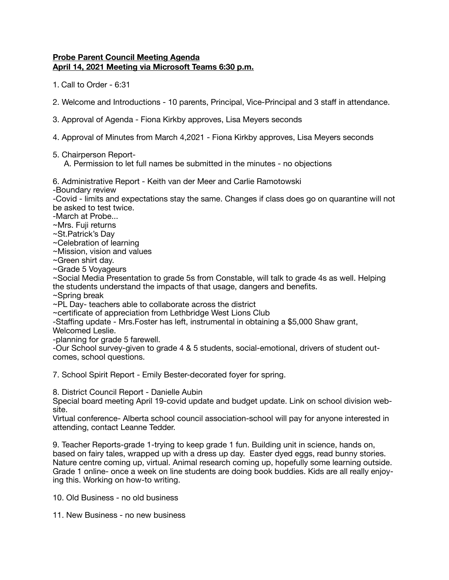## **Probe Parent Council Meeting Agenda April 14, 2021 Meeting via Microsoft Teams 6:30 p.m.**

1. Call to Order - 6:31

- 2. Welcome and Introductions 10 parents, Principal, Vice-Principal and 3 staff in attendance.
- 3. Approval of Agenda Fiona Kirkby approves, Lisa Meyers seconds
- 4. Approval of Minutes from March 4,2021 Fiona Kirkby approves, Lisa Meyers seconds

5. Chairperson Report-

A. Permission to let full names be submitted in the minutes - no objections

6. Administrative Report - Keith van der Meer and Carlie Ramotowski

-Boundary review

-Covid - limits and expectations stay the same. Changes if class does go on quarantine will not be asked to test twice.

-March at Probe...

~Mrs. Fuji returns

~St.Patrick's Day

~Celebration of learning

~Mission, vision and values

~Green shirt day.

~Grade 5 Voyageurs

~Social Media Presentation to grade 5s from Constable, will talk to grade 4s as well. Helping the students understand the impacts of that usage, dangers and benefits.

~Spring break

~PL Day- teachers able to collaborate across the district

~certificate of appreciation from Lethbridge West Lions Club

-Staffing update - Mrs.Foster has left, instrumental in obtaining a \$5,000 Shaw grant,

Welcomed Leslie.

-planning for grade 5 farewell.

-Our School survey-given to grade 4 & 5 students, social-emotional, drivers of student outcomes, school questions.

7. School Spirit Report - Emily Bester-decorated foyer for spring.

8. District Council Report - Danielle Aubin

Special board meeting April 19-covid update and budget update. Link on school division website.

Virtual conference- Alberta school council association-school will pay for anyone interested in attending, contact Leanne Tedder.

9. Teacher Reports-grade 1-trying to keep grade 1 fun. Building unit in science, hands on, based on fairy tales, wrapped up with a dress up day. Easter dyed eggs, read bunny stories. Nature centre coming up, virtual. Animal research coming up, hopefully some learning outside. Grade 1 online- once a week on line students are doing book buddies. Kids are all really enjoying this. Working on how-to writing.

10. Old Business - no old business

11. New Business - no new business